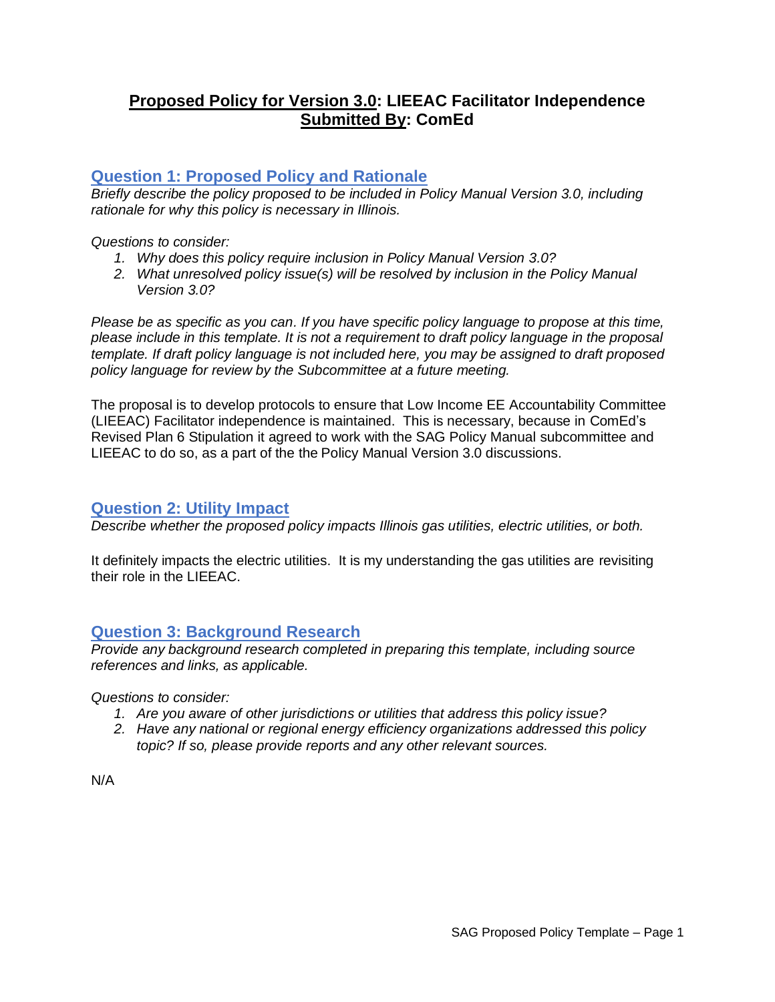## **Proposed Policy for Version 3.0: LIEEAC Facilitator Independence Submitted By: ComEd**

## **Question 1: Proposed Policy and Rationale**

*Briefly describe the policy proposed to be included in Policy Manual Version 3.0, including rationale for why this policy is necessary in Illinois.* 

#### *Questions to consider:*

- *1. Why does this policy require inclusion in Policy Manual Version 3.0?*
- *2. What unresolved policy issue(s) will be resolved by inclusion in the Policy Manual Version 3.0?*

*Please be as specific as you can. If you have specific policy language to propose at this time, please include in this template. It is not a requirement to draft policy language in the proposal template. If draft policy language is not included here, you may be assigned to draft proposed policy language for review by the Subcommittee at a future meeting.*

The proposal is to develop protocols to ensure that Low Income EE Accountability Committee (LIEEAC) Facilitator independence is maintained. This is necessary, because in ComEd's Revised Plan 6 Stipulation it agreed to work with the SAG Policy Manual subcommittee and LIEEAC to do so, as a part of the the Policy Manual Version 3.0 discussions.

#### **Question 2: Utility Impact**

*Describe whether the proposed policy impacts Illinois gas utilities, electric utilities, or both.* 

It definitely impacts the electric utilities. It is my understanding the gas utilities are revisiting their role in the LIEEAC.

## **Question 3: Background Research**

*Provide any background research completed in preparing this template, including source references and links, as applicable.* 

*Questions to consider:*

- *1. Are you aware of other jurisdictions or utilities that address this policy issue?*
- *2. Have any national or regional energy efficiency organizations addressed this policy topic? If so, please provide reports and any other relevant sources.*

N/A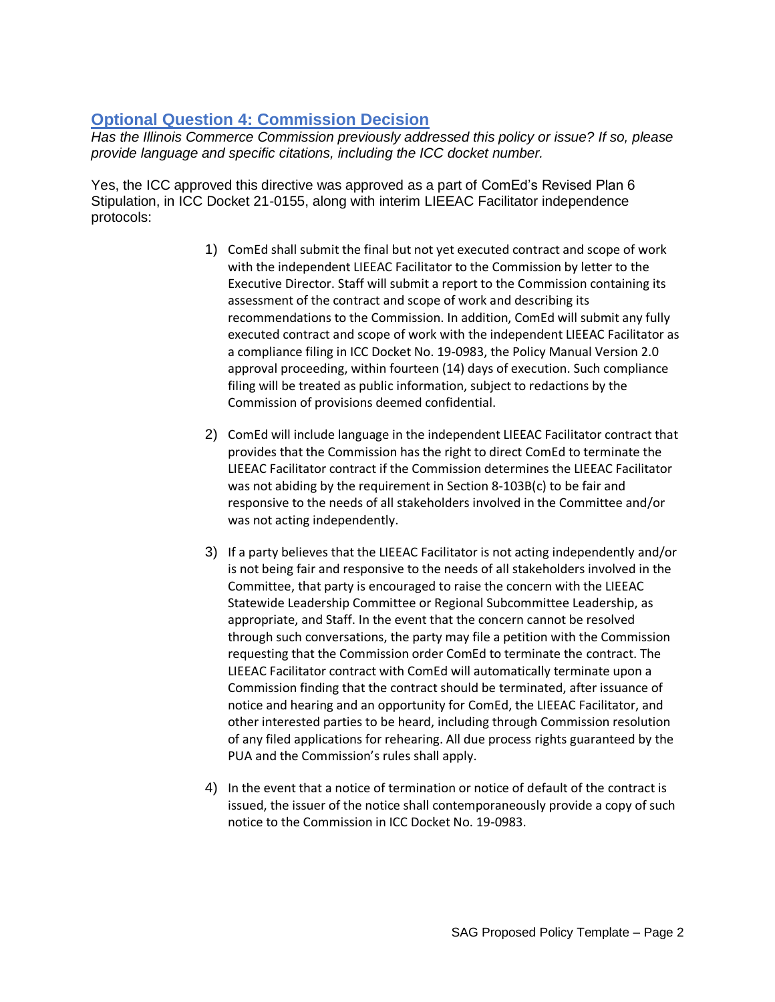# **Optional Question 4: Commission Decision**

*Has the Illinois Commerce Commission previously addressed this policy or issue? If so, please provide language and specific citations, including the ICC docket number.*

Yes, the ICC approved this directive was approved as a part of ComEd's Revised Plan 6 Stipulation, in ICC Docket 21-0155, along with interim LIEEAC Facilitator independence protocols:

- 1) ComEd shall submit the final but not yet executed contract and scope of work with the independent LIEEAC Facilitator to the Commission by letter to the Executive Director. Staff will submit a report to the Commission containing its assessment of the contract and scope of work and describing its recommendations to the Commission. In addition, ComEd will submit any fully executed contract and scope of work with the independent LIEEAC Facilitator as a compliance filing in ICC Docket No. 19-0983, the Policy Manual Version 2.0 approval proceeding, within fourteen (14) days of execution. Such compliance filing will be treated as public information, subject to redactions by the Commission of provisions deemed confidential.
- 2) ComEd will include language in the independent LIEEAC Facilitator contract that provides that the Commission has the right to direct ComEd to terminate the LIEEAC Facilitator contract if the Commission determines the LIEEAC Facilitator was not abiding by the requirement in Section 8-103B(c) to be fair and responsive to the needs of all stakeholders involved in the Committee and/or was not acting independently.
- 3) If a party believes that the LIEEAC Facilitator is not acting independently and/or is not being fair and responsive to the needs of all stakeholders involved in the Committee, that party is encouraged to raise the concern with the LIEEAC Statewide Leadership Committee or Regional Subcommittee Leadership, as appropriate, and Staff. In the event that the concern cannot be resolved through such conversations, the party may file a petition with the Commission requesting that the Commission order ComEd to terminate the contract. The LIEEAC Facilitator contract with ComEd will automatically terminate upon a Commission finding that the contract should be terminated, after issuance of notice and hearing and an opportunity for ComEd, the LIEEAC Facilitator, and other interested parties to be heard, including through Commission resolution of any filed applications for rehearing. All due process rights guaranteed by the PUA and the Commission's rules shall apply.
- 4) In the event that a notice of termination or notice of default of the contract is issued, the issuer of the notice shall contemporaneously provide a copy of such notice to the Commission in ICC Docket No. 19-0983.